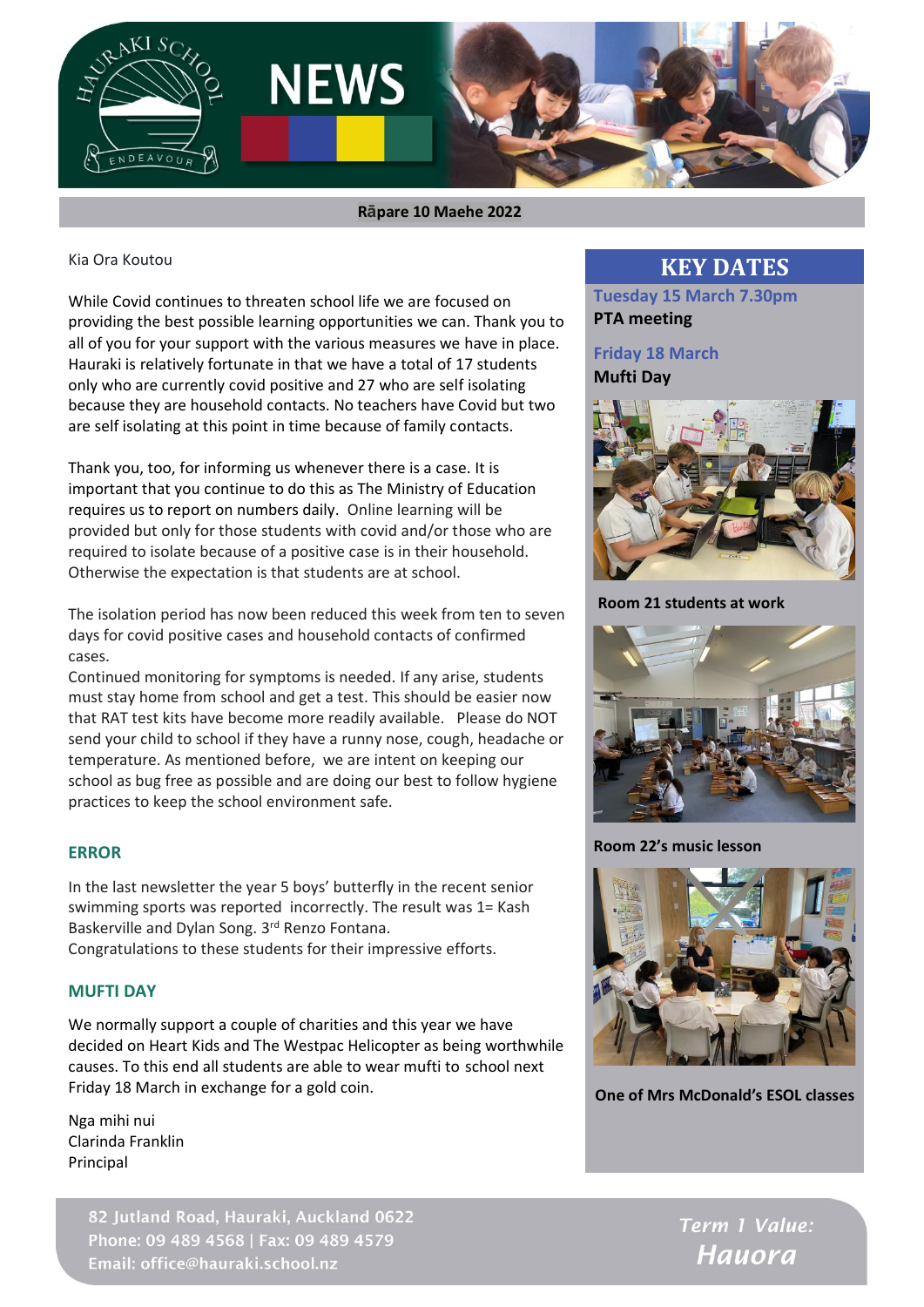

 **Rāpare 10 Maehe 2022**

Kia Ora Koutou

While Covid continues to threaten school life we are focused on providing the best possible learning opportunities we can. Thank you to all of you for your support with the various measures we have in place. Hauraki is relatively fortunate in that we have a total of 17 students only who are currently covid positive and 27 who are self isolating because they are household contacts. No teachers have Covid but two are self isolating at this point in time because of family contacts.

Thank you, too, for informing us whenever there is a case. It is important that you continue to do this as The Ministry of Education requires us to report on numbers daily. Online learning will be provided but only for those students with covid and/or those who are required to isolate because of a positive case is in their household. Otherwise the expectation is that students are at school.

The isolation period has now been reduced this week from ten to seven days for covid positive cases and household contacts of confirmed cases.

Continued monitoring for symptoms is needed. If any arise, students must stay home from school and get a test. This should be easier now that RAT test kits have become more readily available. Please do NOT send your child to school if they have a runny nose, cough, headache or temperature. As mentioned before, we are intent on keeping our school as bug free as possible and are doing our best to follow hygiene practices to keep the school environment safe.

#### **ERROR**

In the last newsletter the year 5 boys' butterfly in the recent senior swimming sports was reported incorrectly. The result was 1= Kash Baskerville and Dylan Song. 3rd Renzo Fontana.

Congratulations to these students for their impressive efforts.

#### **MUFTI DAY**

We normally support a couple of charities and this year we have decided on Heart Kids and The Westpac Helicopter as being worthwhile causes. To this end all students are able to wear mufti to school next Friday 18 March in exchange for a gold coin.

Nga mihi nui Clarinda Franklin Principal

> 82 Jutland Road, Hauraki, Auckland 0622 Phone: 09 489 4568 | Fax: 09 489 4579 Email: office@hauraki.school.nz

### **KEY DATES**

**Tuesday 15 March 7.30pm PTA meeting**

#### **Friday 18 March Mufti Day**



**Room 21 students at work**



**Room 22's music lesson** 



**One of Mrs McDonald's ESOL classes**

Term 1 Value: **Hauora**